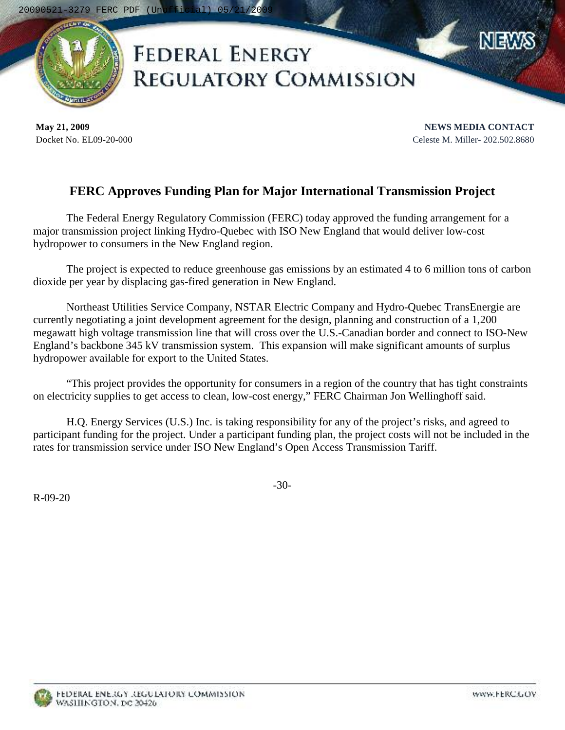

## **FEDERAL ENERGY REGULATORY COMMISSION**

**May 21, 2009** Docket No. EL09-20-000

**NEWS MEDIA CONTACT** Celeste M. Miller- 202.502.8680

## **FERC Approves Funding Plan for Major International Transmission Project**

The Federal Energy Regulatory Commission (FERC) today approved the funding arrangement for a major transmission project linking Hydro-Quebec with ISO New England that would deliver low-cost hydropower to consumers in the New England region.

The project is expected to reduce greenhouse gas emissions by an estimated 4 to 6 million tons of carbon dioxide per year by displacing gas-fired generation in New England.

Northeast Utilities Service Company, NSTAR Electric Company and Hydro-Quebec TransEnergie are currently negotiating a joint development agreement for the design, planning and construction of a 1,200 megawatt high voltage transmission line that will cross over the U.S.-Canadian border and connect to ISO-New England's backbone 345 kV transmission system. This expansion will make significant amounts of surplus hydropower available for export to the United States.

"This project provides the opportunity for consumers in a region of the country that has tight constraints on electricity supplies to get access to clean, low-cost energy," FERC Chairman Jon Wellinghoff said.

H.Q. Energy Services (U.S.) Inc. is taking responsibility for any of the project's risks, and agreed to participant funding for the project. Under a participant funding plan, the project costs will not be included in the rates for transmission service under ISO New England's Open Access Transmission Tariff.

R-09-20

-30-